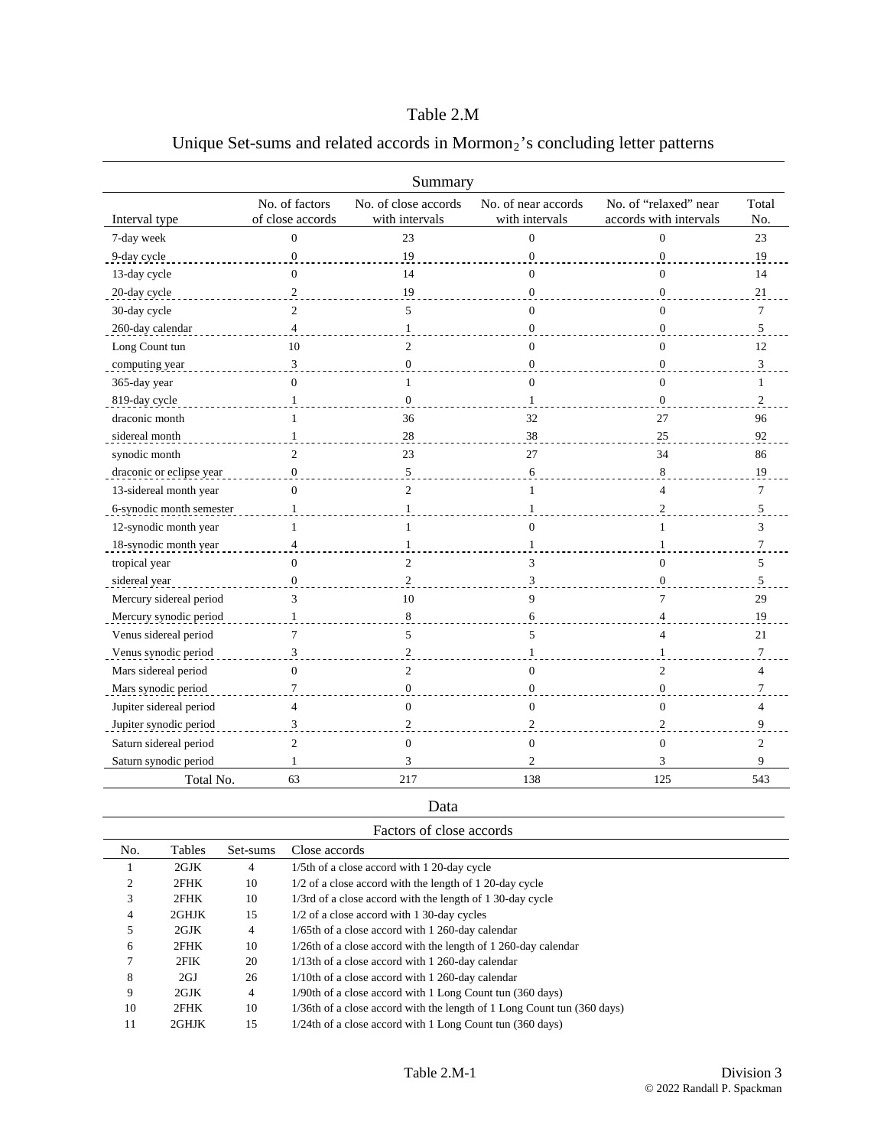## Table 2.M

|                          |                                    | Summary                                |                                       |                                                 |                  |
|--------------------------|------------------------------------|----------------------------------------|---------------------------------------|-------------------------------------------------|------------------|
| Interval type            | No. of factors<br>of close accords | No. of close accords<br>with intervals | No. of near accords<br>with intervals | No. of "relaxed" near<br>accords with intervals | Total<br>No.     |
| 7-day week               | $\overline{0}$                     | 23                                     | $\overline{0}$                        | $\Omega$                                        | 23               |
| 9-day cycle              | $\mathbf{0}$                       | 19                                     | $\overline{0}$                        | $\overline{0}$                                  | 19               |
| 13-day cycle             | $\mathbf{0}$                       | 14                                     | $\Omega$                              | $\Omega$                                        | 14               |
| 20-day cycle             | $\overline{c}$                     | 19                                     | $\overline{0}$                        | $\overline{0}$                                  | 21               |
| 30-day cycle             | $\overline{c}$                     | 5                                      | $\Omega$                              | $\Omega$                                        | $\overline{7}$   |
| 260-day calendar         | $\overline{4}$                     | 1                                      | $\Omega$                              | $\overline{0}$                                  | 5                |
| Long Count tun           | 10                                 | $\overline{c}$                         | $\Omega$                              | $\Omega$                                        | 12               |
| computing year           | 3                                  | $\mathbf{0}$                           | $\overline{0}$                        | $\overline{0}$                                  | 3                |
| 365-day year             | $\Omega$                           | 1                                      | $\Omega$                              | $\theta$                                        | $\mathbf{1}$     |
| 819-day cycle            | $\mathbf{1}$                       | $\Omega$                               | $\mathbf{1}$                          | $\Omega$                                        | $\overline{2}$   |
| draconic month           | 1                                  | 36                                     | 32                                    | 27                                              | 96               |
| sidereal month           |                                    | 28                                     | 38                                    | 25                                              | 92               |
| synodic month            | $\overline{c}$                     | 23                                     | 27                                    | 34                                              | 86               |
| draconic or eclipse year | $\overline{0}$                     | 5                                      | 6                                     | 8                                               | 19               |
| 13-sidereal month year   | $\Omega$                           | $\overline{2}$                         | 1                                     | $\overline{\mathcal{L}}$                        | $\tau$           |
| 6-synodic month semester | $\mathbf{1}$                       |                                        |                                       | $\mathfrak{D}$                                  | 5                |
| 12-synodic month year    | 1                                  | 1                                      | $\Omega$                              | 1                                               | 3                |
| 18-synodic month year    | $\overline{4}$                     | $\mathbf{1}$                           | $\mathbf{1}$                          | $\mathbf{1}$                                    | $\boldsymbol{7}$ |
| tropical year            | $\theta$                           | $\overline{c}$                         | 3                                     | $\theta$                                        | 5                |
| sidereal year            | $\overline{0}$                     | $\overline{c}$                         | 3                                     | $\Omega$                                        | 5                |
| Mercury sidereal period  | 3                                  | 10                                     | $\overline{Q}$                        | 7                                               | 29               |
| Mercury synodic period   | $\mathbf{1}$                       | 8                                      | 6                                     | 4                                               | 19               |
| Venus sidereal period    | 7                                  | 5                                      | 5                                     | $\overline{4}$                                  | 21               |
| Venus synodic period     | 3                                  | $\mathbf{2}$                           | 1                                     | $\mathbf{1}$                                    | $\boldsymbol{7}$ |
| Mars sidereal period     | $\Omega$                           | $\overline{c}$                         | $\Omega$                              | $\mathfrak{2}$                                  | $\overline{4}$   |
| Mars synodic period      | 7                                  | $\Omega$                               | $\Omega$                              | $\Omega$                                        | 7                |
| Jupiter sidereal period  | $\overline{4}$                     | $\mathbf{0}$                           | $\overline{0}$                        | $\mathbf{0}$                                    | $\overline{4}$   |
| Jupiter synodic period   | 3                                  | 2                                      | 2                                     | 2                                               | 9                |
| Saturn sidereal period   | $\overline{2}$                     | $\mathbf{0}$                           | $\mathbf{0}$                          | $\Omega$                                        | $\overline{c}$   |
| Saturn synodic period    | 1                                  | 3                                      | $\overline{c}$                        | 3                                               | 9                |
| Total No.                | 63                                 | 217                                    | 138                                   | 125                                             | 543              |

## Unique Set-sums and related accords in  $Mormon<sub>2</sub>$ 's concluding letter patterns

## Data

| Factors of close accords |          |                                                                         |  |
|--------------------------|----------|-------------------------------------------------------------------------|--|
| <b>Tables</b>            | Set-sums | Close accords                                                           |  |
| 2GJK                     | 4        | 1/5th of a close accord with 1 20-day cycle                             |  |
| 2FHK                     | 10       | 1/2 of a close accord with the length of 1 20-day cycle                 |  |
| 2FHK                     | 10       | 1/3rd of a close accord with the length of 130-day cycle                |  |
| 2GHJK                    | 15       | 1/2 of a close accord with 1 30-day cycles                              |  |
| 2GJK                     | 4        | 1/65th of a close accord with 1 260-day calendar                        |  |
| 2FHK                     | 10       | $1/26$ th of a close accord with the length of 1 260-day calendar       |  |
| $2$ FIK                  | 20       | 1/13th of a close accord with 1 260-day calendar                        |  |
| 2GI                      | 26       | $1/10$ th of a close accord with 1 260-day calendar                     |  |
| 2GJK                     | 4        | 1/90th of a close accord with 1 Long Count tun (360 days)               |  |
| 2FHK                     | 10       | 1/36th of a close accord with the length of 1 Long Count tun (360 days) |  |
| 2GHJK                    | 15       | 1/24th of a close accord with 1 Long Count tun (360 days)               |  |
|                          |          |                                                                         |  |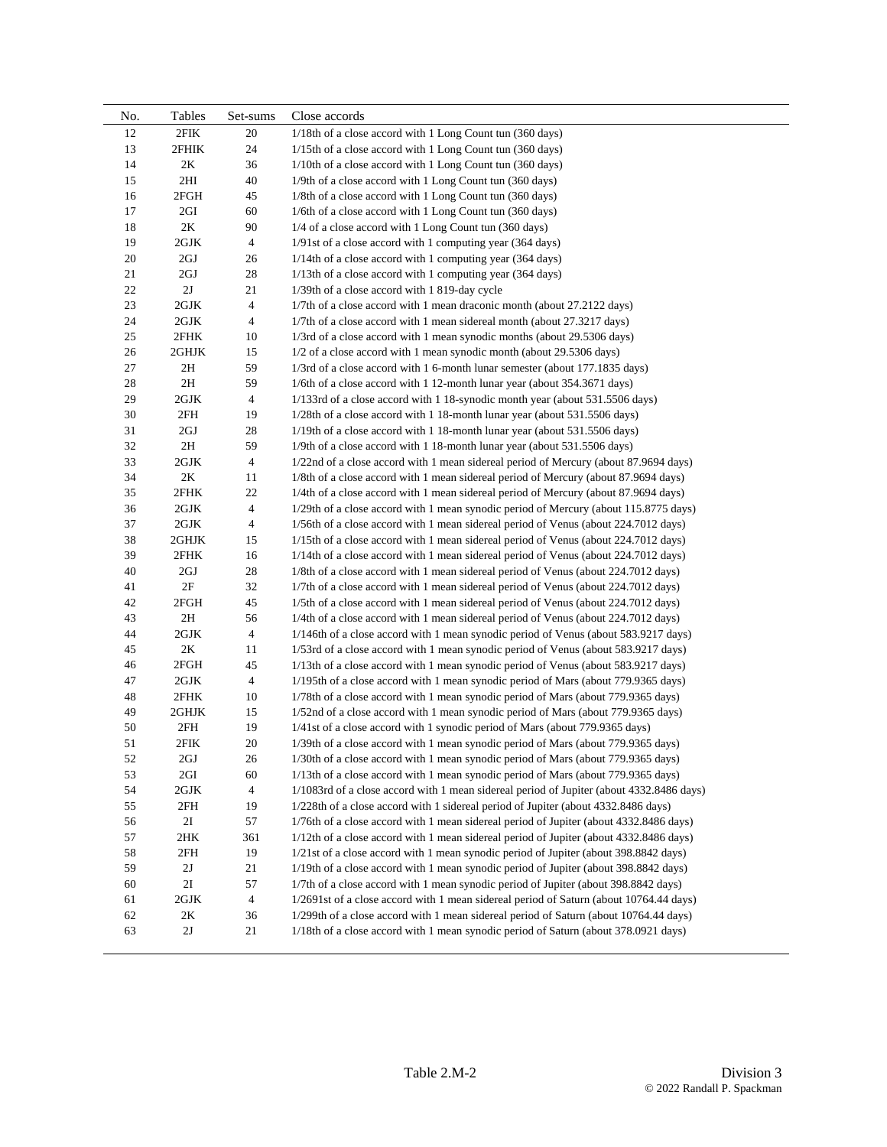| No. | Tables        | Set-sums       | Close accords                                                                            |
|-----|---------------|----------------|------------------------------------------------------------------------------------------|
| 12  | 2FIK          | 20             | 1/18th of a close accord with 1 Long Count tun (360 days)                                |
| 13  | 2FHIK         | 24             | 1/15th of a close accord with 1 Long Count tun (360 days)                                |
| 14  | 2K            | 36             | 1/10th of a close accord with 1 Long Count tun (360 days)                                |
| 15  | 2HI           | 40             | 1/9th of a close accord with 1 Long Count tun (360 days)                                 |
| 16  | 2FGH          | 45             | 1/8th of a close accord with 1 Long Count tun (360 days)                                 |
| 17  | 2GI           | 60             | 1/6th of a close accord with 1 Long Count tun (360 days)                                 |
| 18  | 2K            | 90             | 1/4 of a close accord with 1 Long Count tun (360 days)                                   |
| 19  | 2GJK          | $\overline{4}$ | 1/91st of a close accord with 1 computing year (364 days)                                |
| 20  | 2GJ           | 26             | 1/14th of a close accord with 1 computing year (364 days)                                |
| 21  | 2GJ           | 28             | 1/13th of a close accord with 1 computing year (364 days)                                |
| 22  | 2J            | 21             | 1/39th of a close accord with 1 819-day cycle                                            |
| 23  | $2{\rm GJK}$  | $\overline{4}$ | 1/7th of a close accord with 1 mean draconic month (about 27.2122 days)                  |
| 24  | 2GJK          | 4              | 1/7th of a close accord with 1 mean sidereal month (about 27.3217 days)                  |
| 25  | 2FHK          | 10             | 1/3rd of a close accord with 1 mean synodic months (about 29.5306 days)                  |
| 26  | 2GHJK         | 15             | 1/2 of a close accord with 1 mean synodic month (about 29.5306 days)                     |
| 27  | 2H            | 59             | 1/3rd of a close accord with 1 6-month lunar semester (about 177.1835 days)              |
| 28  | 2H            | 59             | 1/6th of a close accord with 1 12-month lunar year (about 354.3671 days)                 |
| 29  | 2GJK          | $\overline{4}$ | 1/133rd of a close accord with 1 18-synodic month year (about 531.5506 days)             |
| 30  | 2FH           | 19             | 1/28th of a close accord with 1 18-month lunar year (about 531.5506 days)                |
| 31  | 2GJ           | 28             | 1/19th of a close accord with 1 18-month lunar year (about 531.5506 days)                |
| 32  | 2H            | 59             | 1/9th of a close accord with 1 18-month lunar year (about 531.5506 days)                 |
| 33  | $2{\rm GJK}$  | $\overline{4}$ | 1/22nd of a close accord with 1 mean sidereal period of Mercury (about 87.9694 days)     |
| 34  | 2K            | 11             | 1/8th of a close accord with 1 mean sidereal period of Mercury (about 87.9694 days)      |
| 35  | 2FHK          | 22             | 1/4th of a close accord with 1 mean sidereal period of Mercury (about 87.9694 days)      |
| 36  | 2GJK          | $\overline{4}$ | 1/29th of a close accord with 1 mean synodic period of Mercury (about 115.8775 days)     |
| 37  | 2GJK          | 4              | 1/56th of a close accord with 1 mean sidereal period of Venus (about 224.7012 days)      |
| 38  | 2GHJK         | 15             | 1/15th of a close accord with 1 mean sidereal period of Venus (about 224.7012 days)      |
| 39  | 2FHK          | 16             | 1/14th of a close accord with 1 mean sidereal period of Venus (about 224.7012 days)      |
| 40  | 2GJ           | $28\,$         | 1/8th of a close accord with 1 mean sidereal period of Venus (about 224.7012 days)       |
| 41  | $2\mathrm{F}$ | 32             | 1/7th of a close accord with 1 mean sidereal period of Venus (about 224.7012 days)       |
| 42  | 2FGH          | 45             | 1/5th of a close accord with 1 mean sidereal period of Venus (about 224.7012 days)       |
| 43  | 2H            | 56             | 1/4th of a close accord with 1 mean sidereal period of Venus (about 224.7012 days)       |
| 44  | 2GJK          | $\overline{4}$ | 1/146th of a close accord with 1 mean synodic period of Venus (about 583.9217 days)      |
| 45  | 2K            | 11             | 1/53rd of a close accord with 1 mean synodic period of Venus (about 583.9217 days)       |
| 46  | 2FGH          | 45             | 1/13th of a close accord with 1 mean synodic period of Venus (about 583.9217 days)       |
| 47  | 2GJK          | $\overline{4}$ | 1/195th of a close accord with 1 mean synodic period of Mars (about 779.9365 days)       |
| 48  | 2FHK          | 10             | 1/78th of a close accord with 1 mean synodic period of Mars (about 779.9365 days)        |
| 49  | 2GHJK         | 15             | 1/52nd of a close accord with 1 mean synodic period of Mars (about 779.9365 days)        |
| 50  | 2FH           | 19             | 1/41st of a close accord with 1 synodic period of Mars (about 779.9365 days)             |
| 51  | 2FIK          | 20             | 1/39th of a close accord with 1 mean synodic period of Mars (about 779.9365 days)        |
| 52  | 2GJ           | 26             | 1/30th of a close accord with 1 mean synodic period of Mars (about 779.9365 days)        |
| 53  | 2GI           | 60             | 1/13th of a close accord with 1 mean synodic period of Mars (about 779.9365 days)        |
| 54  | 2GJK          | $\overline{4}$ | 1/1083rd of a close accord with 1 mean sidereal period of Jupiter (about 4332.8486 days) |
| 55  | 2FH           | 19             | 1/228th of a close accord with 1 sidereal period of Jupiter (about 4332.8486 days)       |
| 56  | 2I            | 57             | 1/76th of a close accord with 1 mean sidereal period of Jupiter (about 4332.8486 days)   |
| 57  | 2HK           | 361            | 1/12th of a close accord with 1 mean sidereal period of Jupiter (about 4332.8486 days)   |
| 58  | $2FH$         | 19             | 1/21st of a close accord with 1 mean synodic period of Jupiter (about 398.8842 days)     |
| 59  | 2J            | 21             | 1/19th of a close accord with 1 mean synodic period of Jupiter (about 398.8842 days)     |
| 60  | $2\mathrm{I}$ | 57             | 1/7th of a close accord with 1 mean synodic period of Jupiter (about 398.8842 days)      |
| 61  | 2GJK          | $\overline{4}$ | 1/2691st of a close accord with 1 mean sidereal period of Saturn (about 10764.44 days)   |
| 62  | 2K            | 36             | 1/299th of a close accord with 1 mean sidereal period of Saturn (about 10764.44 days)    |
| 63  | $2J$          | 21             | 1/18th of a close accord with 1 mean synodic period of Saturn (about 378.0921 days)      |
|     |               |                |                                                                                          |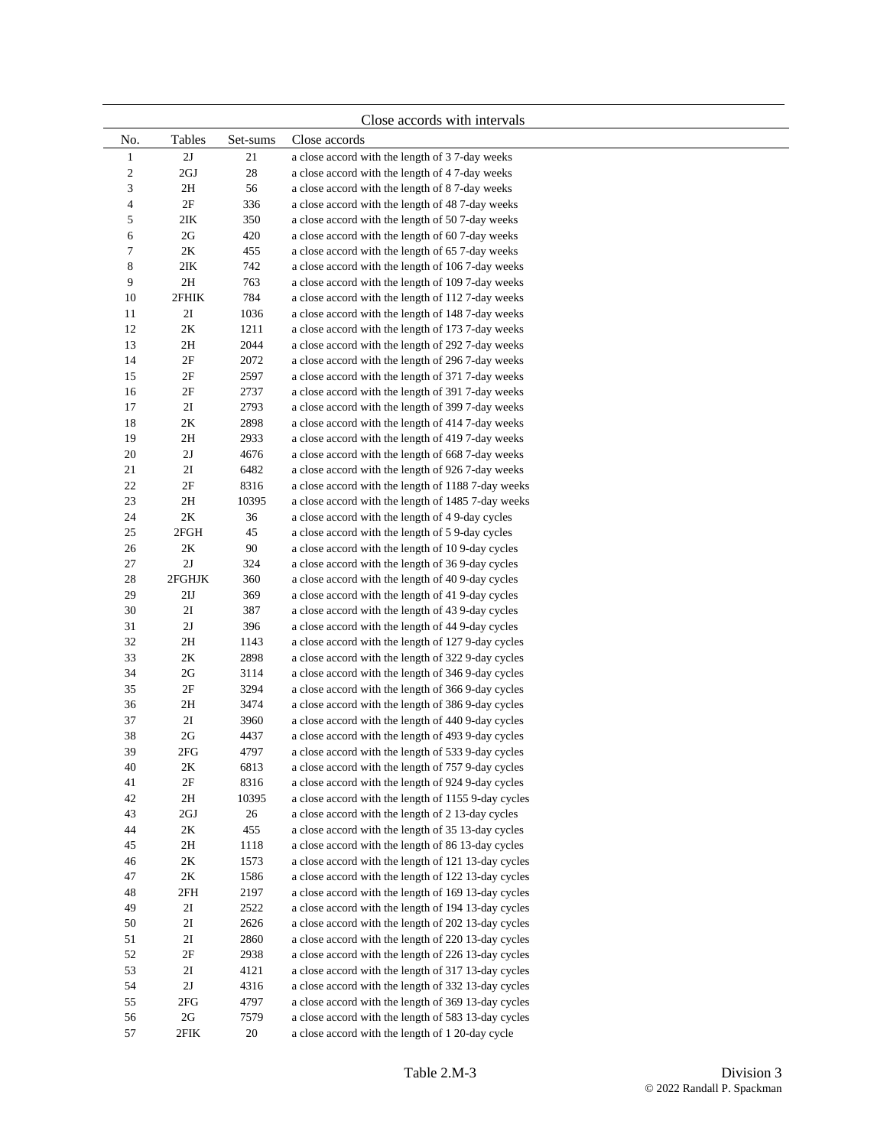|                  |                     |              | Close accords with intervals                                                                               |
|------------------|---------------------|--------------|------------------------------------------------------------------------------------------------------------|
| No.              | Tables              | Set-sums     | Close accords                                                                                              |
| $\mathbf{1}$     | 2J                  | 21           | a close accord with the length of 37-day weeks                                                             |
| $\boldsymbol{2}$ | 2GJ                 | 28           | a close accord with the length of 4 7-day weeks                                                            |
| 3                | 2H                  | 56           | a close accord with the length of 87-day weeks                                                             |
| 4                | $2\mathrm{F}$       | 336          | a close accord with the length of 48 7-day weeks                                                           |
| 5                | $2$ IK              | 350          | a close accord with the length of 50 7-day weeks                                                           |
| 6<br>7           | 2G<br>$2K$          | 420<br>455   | a close accord with the length of 60 7-day weeks<br>a close accord with the length of 65 7-day weeks       |
| 8                | 2IK                 | 742          | a close accord with the length of 106 7-day weeks                                                          |
| 9                | 2H                  | 763          | a close accord with the length of 109 7-day weeks                                                          |
| 10               | 2FHIK               | 784          | a close accord with the length of 112 7-day weeks                                                          |
| 11               | 2I                  | 1036         | a close accord with the length of 148 7-day weeks                                                          |
| 12               | $2K$                | 1211         | a close accord with the length of 1737-day weeks                                                           |
| 13               | 2H                  | 2044         | a close accord with the length of 292 7-day weeks                                                          |
| 14               | 2F                  | 2072         | a close accord with the length of 2967-day weeks                                                           |
| 15               | $2\mathrm{F}$       | 2597         | a close accord with the length of 371 7-day weeks                                                          |
| 16               | 2F                  | 2737         | a close accord with the length of 391 7-day weeks                                                          |
| 17               | 2I                  | 2793         | a close accord with the length of 399 7-day weeks                                                          |
| 18               | 2K                  | 2898         | a close accord with the length of 414 7-day weeks                                                          |
| 19               | 2H                  | 2933         | a close accord with the length of 419 7-day weeks                                                          |
| 20               | 2J                  | 4676         | a close accord with the length of 668 7-day weeks                                                          |
| 21               | 2I                  | 6482         | a close accord with the length of 926 7-day weeks                                                          |
| 22               | $2\mathrm{F}$       | 8316         | a close accord with the length of 1188 7-day weeks                                                         |
| 23               | 2H                  | 10395        | a close accord with the length of 1485 7-day weeks                                                         |
| 24               | 2K                  | 36           | a close accord with the length of 49-day cycles                                                            |
| 25               | 2FGH                | 45           | a close accord with the length of 59-day cycles                                                            |
| 26<br>27         | $2\mathrm{K}$<br>2J | 90<br>324    | a close accord with the length of 10 9-day cycles                                                          |
| 28               | 2FGHJK              | 360          | a close accord with the length of 36 9-day cycles<br>a close accord with the length of 40 9-day cycles     |
| 29               | 2IJ                 | 369          | a close accord with the length of 41 9-day cycles                                                          |
| 30               | 2I                  | 387          | a close accord with the length of 43 9-day cycles                                                          |
| 31               | 2J                  | 396          | a close accord with the length of 44 9-day cycles                                                          |
| 32               | 2H                  | 1143         | a close accord with the length of 127 9-day cycles                                                         |
| 33               | 2K                  | 2898         | a close accord with the length of 322 9-day cycles                                                         |
| 34               | 2G                  | 3114         | a close accord with the length of 346 9-day cycles                                                         |
| 35               | 2F                  | 3294         | a close accord with the length of 366 9-day cycles                                                         |
| 36               | 2H                  | 3474         | a close accord with the length of 386 9-day cycles                                                         |
| 37               | 2I                  | 3960         | a close accord with the length of 440 9-day cycles                                                         |
| 38               | 2G                  | 4437         | a close accord with the length of 493 9-day cycles                                                         |
| 39               | 2FG                 | 4797         | a close accord with the length of 533 9-day cycles                                                         |
| 40               | $2\mathrm{K}$       | 6813         | a close accord with the length of 757 9-day cycles                                                         |
| 41               | $2\mathrm{F}$       | 8316         | a close accord with the length of 924 9-day cycles                                                         |
| 42               | 2H                  | 10395        | a close accord with the length of 1155 9-day cycles                                                        |
| 43               | $2\mbox{GJ}$        | 26           | a close accord with the length of 2 13-day cycles                                                          |
| 44               | 2K                  | 455          | a close accord with the length of 35 13-day cycles                                                         |
| 45               | 2H                  | 1118         | a close accord with the length of 86 13-day cycles                                                         |
| 46               | $2K$                | 1573         | a close accord with the length of 121 13-day cycles                                                        |
| 47<br>48         | 2K<br>$2FH$         | 1586<br>2197 | a close accord with the length of 122 13-day cycles<br>a close accord with the length of 169 13-day cycles |
| 49               | 2I                  | 2522         | a close accord with the length of 194 13-day cycles                                                        |
| 50               | 2I                  | 2626         | a close accord with the length of 202 13-day cycles                                                        |
| 51               | 2I                  | 2860         | a close accord with the length of 220 13-day cycles                                                        |
| 52               | $2\mathrm{F}$       | 2938         | a close accord with the length of 226 13-day cycles                                                        |
| 53               | 2I                  | 4121         | a close accord with the length of 317 13-day cycles                                                        |
| 54               | $2J$                | 4316         | a close accord with the length of 332 13-day cycles                                                        |
| 55               | 2FG                 | 4797         | a close accord with the length of 369 13-day cycles                                                        |
| 56               | $2{\rm G}$          | 7579         | a close accord with the length of 583 13-day cycles                                                        |
| 57               | $2\mathrm{FIK}$     | 20           | a close accord with the length of 1 20-day cycle                                                           |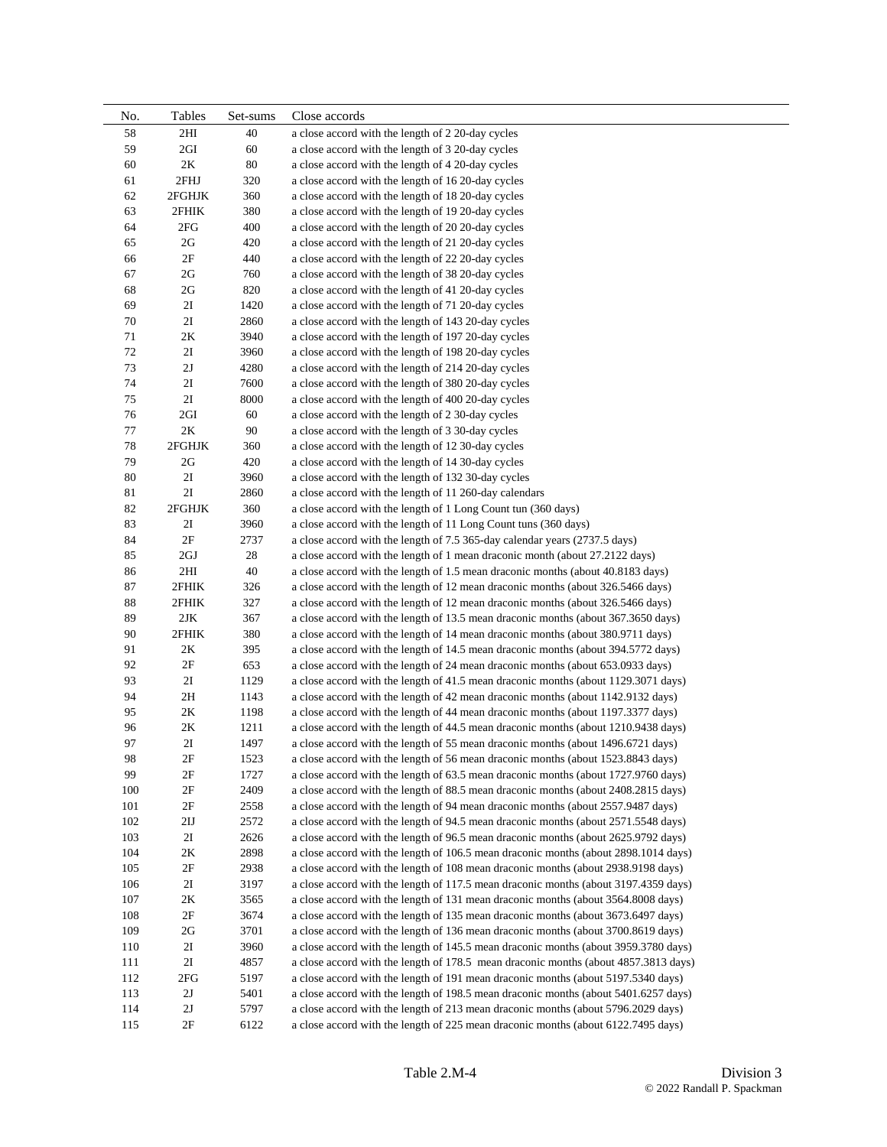| No. | Tables        | Set-sums | Close accords                                                                       |
|-----|---------------|----------|-------------------------------------------------------------------------------------|
| 58  | 2HI           | 40       | a close accord with the length of 2 20-day cycles                                   |
| 59  | 2GI           | 60       | a close accord with the length of 3 20-day cycles                                   |
| 60  | $2K$          | 80       | a close accord with the length of 4 20-day cycles                                   |
| 61  | 2FHJ          | 320      | a close accord with the length of 16 20-day cycles                                  |
| 62  | 2FGHJK        | 360      | a close accord with the length of 18 20-day cycles                                  |
| 63  | 2FHIK         | 380      | a close accord with the length of 19 20-day cycles                                  |
| 64  | 2FG           | 400      | a close accord with the length of 20 20-day cycles                                  |
| 65  | 2G            | 420      | a close accord with the length of 21 20-day cycles                                  |
| 66  | $2\mathrm{F}$ | 440      | a close accord with the length of 22 20-day cycles                                  |
| 67  | 2G            | 760      | a close accord with the length of 38 20-day cycles                                  |
| 68  | 2G            | 820      | a close accord with the length of 41 20-day cycles                                  |
| 69  | 2I            | 1420     | a close accord with the length of 71 20-day cycles                                  |
| 70  | 2I            | 2860     | a close accord with the length of 143 20-day cycles                                 |
| 71  | 2K            | 3940     | a close accord with the length of 197 20-day cycles                                 |
| 72  | 2I            | 3960     | a close accord with the length of 198 20-day cycles                                 |
| 73  | 2J            | 4280     | a close accord with the length of 214 20-day cycles                                 |
| 74  | 2I            | 7600     | a close accord with the length of 380 20-day cycles                                 |
| 75  | 2I            | 8000     | a close accord with the length of 400 20-day cycles                                 |
| 76  | 2GI           | 60       | a close accord with the length of 2 30-day cycles                                   |
| 77  | 2K            | 90       | a close accord with the length of 3 30-day cycles                                   |
| 78  | 2FGHJK        | 360      | a close accord with the length of 12 30-day cycles                                  |
| 79  | 2G            | 420      | a close accord with the length of 14 30-day cycles                                  |
| 80  | 2I            | 3960     | a close accord with the length of 132 30-day cycles                                 |
| 81  | 2I            | 2860     | a close accord with the length of 11 260-day calendars                              |
| 82  | 2FGHJK        | 360      | a close accord with the length of 1 Long Count tun (360 days)                       |
| 83  | 2I            | 3960     | a close accord with the length of 11 Long Count tuns (360 days)                     |
| 84  | 2F            | 2737     | a close accord with the length of 7.5 365-day calendar years (2737.5 days)          |
| 85  | 2GJ           | 28       | a close accord with the length of 1 mean draconic month (about 27.2122 days)        |
| 86  | 2HI           | 40       | a close accord with the length of 1.5 mean draconic months (about 40.8183 days)     |
| 87  | 2FHIK         | 326      | a close accord with the length of 12 mean draconic months (about 326.5466 days)     |
| 88  | 2FHIK         | 327      | a close accord with the length of 12 mean draconic months (about 326.5466 days)     |
| 89  | 2JK           | 367      | a close accord with the length of 13.5 mean draconic months (about 367.3650 days)   |
| 90  | 2FHIK         | 380      | a close accord with the length of 14 mean draconic months (about 380.9711 days)     |
| 91  | 2K            | 395      | a close accord with the length of 14.5 mean draconic months (about 394.5772 days)   |
| 92  | 2F            | 653      | a close accord with the length of 24 mean draconic months (about 653.0933 days)     |
| 93  | 2I            | 1129     | a close accord with the length of 41.5 mean draconic months (about 1129.3071 days)  |
| 94  | 2H            | 1143     | a close accord with the length of 42 mean draconic months (about 1142.9132 days)    |
| 95  | 2K            | 1198     | a close accord with the length of 44 mean draconic months (about 1197.3377 days)    |
| 96  | 2K            | 1211     | a close accord with the length of 44.5 mean draconic months (about 1210.9438 days)  |
| 97  | 2I            | 1497     | a close accord with the length of 55 mean draconic months (about 1496.6721 days)    |
| 98  | 2F            | 1523     | a close accord with the length of 56 mean draconic months (about 1523.8843 days)    |
| 99  | $2\mathrm{F}$ | 1727     | a close accord with the length of 63.5 mean draconic months (about 1727.9760 days)  |
| 100 | $2\mathrm{F}$ | 2409     | a close accord with the length of 88.5 mean draconic months (about 2408.2815 days)  |
| 101 | $2\mathrm{F}$ | 2558     | a close accord with the length of 94 mean draconic months (about 2557.9487 days)    |
| 102 | 2IJ           | 2572     | a close accord with the length of 94.5 mean draconic months (about 2571.5548 days)  |
| 103 | 2I            | 2626     | a close accord with the length of 96.5 mean draconic months (about 2625.9792 days)  |
| 104 | $2\mathrm{K}$ | 2898     | a close accord with the length of 106.5 mean draconic months (about 2898.1014 days) |
| 105 | $2\mathrm{F}$ | 2938     | a close accord with the length of 108 mean draconic months (about 2938.9198 days)   |
| 106 | $2\mathrm{I}$ | 3197     | a close accord with the length of 117.5 mean draconic months (about 3197.4359 days) |
| 107 | 2K            | 3565     | a close accord with the length of 131 mean draconic months (about 3564.8008 days)   |
| 108 | $2\mathrm{F}$ | 3674     | a close accord with the length of 135 mean draconic months (about 3673.6497 days)   |
| 109 | 2G            | 3701     | a close accord with the length of 136 mean draconic months (about 3700.8619 days)   |
| 110 | 2I            | 3960     | a close accord with the length of 145.5 mean draconic months (about 3959.3780 days) |
| 111 | $2\mathrm{I}$ | 4857     | a close accord with the length of 178.5 mean draconic months (about 4857.3813 days) |
| 112 | 2FG           | 5197     | a close accord with the length of 191 mean draconic months (about 5197.5340 days)   |
| 113 | 2J            | 5401     | a close accord with the length of 198.5 mean draconic months (about 5401.6257 days) |
| 114 | $2J$          | 5797     | a close accord with the length of 213 mean draconic months (about 5796.2029 days)   |
| 115 | $2\mathrm{F}$ | 6122     | a close accord with the length of 225 mean draconic months (about 6122.7495 days)   |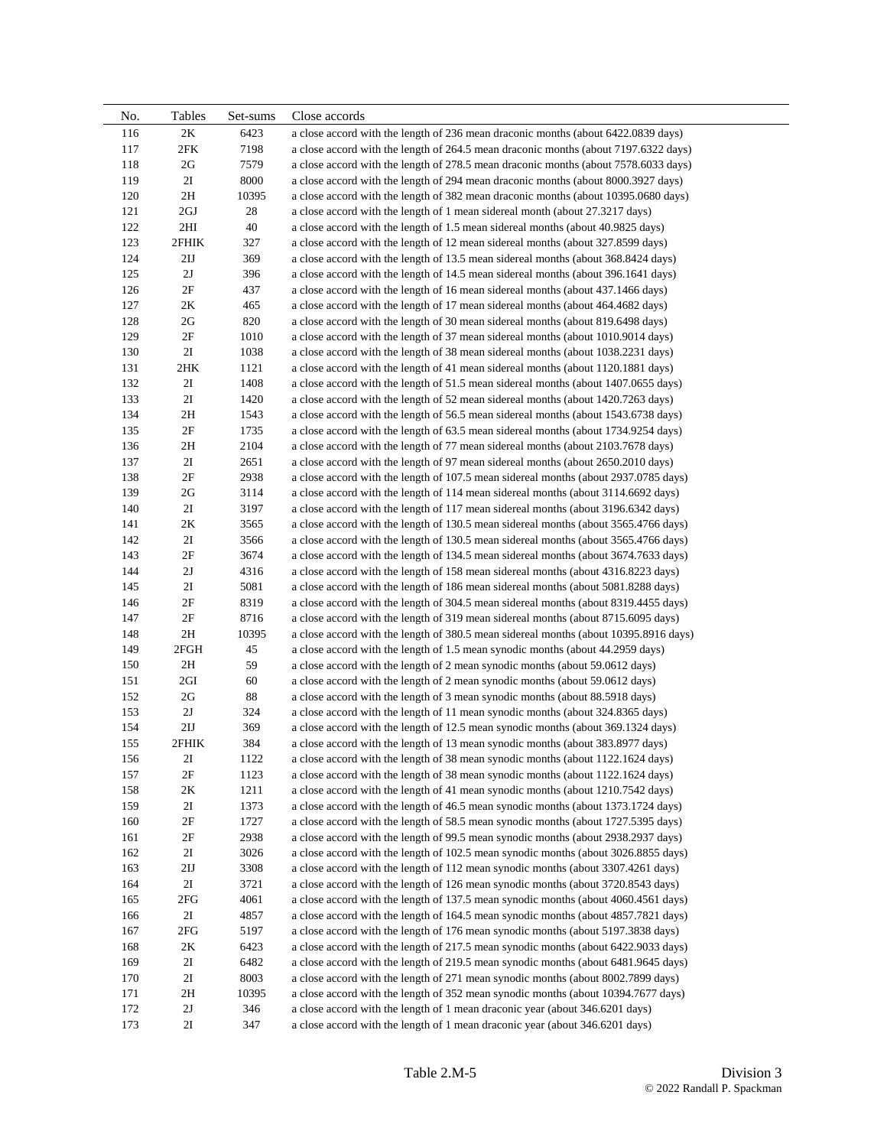| No. | Tables         | Set-sums | Close accords                                                                        |
|-----|----------------|----------|--------------------------------------------------------------------------------------|
| 116 | 2K             | 6423     | a close accord with the length of 236 mean draconic months (about 6422.0839 days)    |
| 117 | 2FK            | 7198     | a close accord with the length of 264.5 mean draconic months (about 7197.6322 days)  |
| 118 | 2G             | 7579     | a close accord with the length of 278.5 mean draconic months (about 7578.6033 days)  |
| 119 | $2\mathrm{I}$  | 8000     | a close accord with the length of 294 mean draconic months (about 8000.3927 days)    |
| 120 | 2H             | 10395    | a close accord with the length of 382 mean draconic months (about 10395.0680 days)   |
| 121 | 2GJ            | 28       | a close accord with the length of 1 mean sidereal month (about 27.3217 days)         |
| 122 | 2HI            | 40       | a close accord with the length of 1.5 mean sidereal months (about 40.9825 days)      |
| 123 | 2FHIK          | 327      | a close accord with the length of 12 mean sidereal months (about 327.8599 days)      |
| 124 | 2IJ            | 369      | a close accord with the length of 13.5 mean sidereal months (about 368.8424 days)    |
| 125 | 2J             | 396      | a close accord with the length of 14.5 mean sidereal months (about 396.1641 days)    |
| 126 | 2F             | 437      | a close accord with the length of 16 mean sidereal months (about 437.1466 days)      |
| 127 | $2K$           | 465      | a close accord with the length of 17 mean sidereal months (about 464.4682 days)      |
| 128 | 2G             | 820      | a close accord with the length of 30 mean sidereal months (about 819.6498 days)      |
| 129 | $2\mathrm{F}$  | 1010     | a close accord with the length of 37 mean sidereal months (about 1010.9014 days)     |
| 130 | 2I             | 1038     | a close accord with the length of 38 mean sidereal months (about 1038.2231 days)     |
| 131 | 2HK            | 1121     | a close accord with the length of 41 mean sidereal months (about 1120.1881 days)     |
| 132 | $2I$           | 1408     | a close accord with the length of 51.5 mean sidereal months (about 1407.0655 days)   |
| 133 | 2I             | 1420     | a close accord with the length of 52 mean sidereal months (about 1420.7263 days)     |
| 134 | 2H             | 1543     | a close accord with the length of 56.5 mean sidereal months (about 1543.6738 days)   |
| 135 | 2F             | 1735     | a close accord with the length of 63.5 mean sidereal months (about 1734.9254 days)   |
| 136 | 2H             | 2104     | a close accord with the length of 77 mean sidereal months (about 2103.7678 days)     |
| 137 | 2I             | 2651     | a close accord with the length of 97 mean sidereal months (about 2650.2010 days)     |
| 138 | $2\mathrm{F}$  | 2938     | a close accord with the length of 107.5 mean sidereal months (about 2937.0785 days)  |
| 139 | 2G             | 3114     | a close accord with the length of 114 mean sidereal months (about 3114.6692 days)    |
| 140 | 2I             | 3197     | a close accord with the length of 117 mean sidereal months (about 3196.6342 days)    |
| 141 | 2K             | 3565     | a close accord with the length of 130.5 mean sidereal months (about 3565.4766 days)  |
| 142 | 2I             | 3566     | a close accord with the length of 130.5 mean sidereal months (about 3565.4766 days)  |
| 143 | $2\mathrm{F}$  | 3674     | a close accord with the length of 134.5 mean sidereal months (about 3674.7633 days)  |
| 144 | $2\mathbf{J}$  | 4316     | a close accord with the length of 158 mean sidereal months (about 4316.8223 days)    |
| 145 | 2I             | 5081     | a close accord with the length of 186 mean sidereal months (about 5081.8288 days)    |
| 146 | 2F             | 8319     | a close accord with the length of 304.5 mean sidereal months (about 8319.4455 days)  |
| 147 | $2\mathrm{F}$  | 8716     | a close accord with the length of 319 mean sidereal months (about 8715.6095 days)    |
| 148 | 2H             | 10395    | a close accord with the length of 380.5 mean sidereal months (about 10395.8916 days) |
| 149 | 2FGH           | 45       | a close accord with the length of 1.5 mean synodic months (about 44.2959 days)       |
| 150 | 2H             | 59       | a close accord with the length of 2 mean synodic months (about 59.0612 days)         |
| 151 | 2GI            | 60       | a close accord with the length of 2 mean synodic months (about 59.0612 days)         |
| 152 | $2{\rm G}$     | 88       | a close accord with the length of 3 mean synodic months (about 88.5918 days)         |
| 153 | $2J$           | 324      | a close accord with the length of 11 mean synodic months (about 324.8365 days)       |
| 154 | 2IJ            | 369      | a close accord with the length of 12.5 mean synodic months (about 369.1324 days)     |
| 155 | 2FHIK          | 384      | a close accord with the length of 13 mean synodic months (about 383.8977 days)       |
| 156 | 21             | 1122     | a close accord with the length of 38 mean synodic months (about 1122.1624 days)      |
| 157 | $2\mathrm{F}$  | 1123     | a close accord with the length of 38 mean synodic months (about 1122.1624 days)      |
| 158 | $2\mathrm{K}$  | 1211     | a close accord with the length of 41 mean synodic months (about 1210.7542 days)      |
| 159 | $2\mathrm{I}$  | 1373     | a close accord with the length of 46.5 mean synodic months (about 1373.1724 days)    |
| 160 | 2F             | 1727     | a close accord with the length of 58.5 mean synodic months (about 1727.5395 days)    |
| 161 | 2F             | 2938     | a close accord with the length of 99.5 mean synodic months (about 2938.2937 days)    |
| 162 | $2I$           | 3026     | a close accord with the length of 102.5 mean synodic months (about 3026.8855 days)   |
| 163 | $2\mathrm{IJ}$ | 3308     | a close accord with the length of 112 mean synodic months (about 3307.4261 days)     |
| 164 | $2I$           | 3721     | a close accord with the length of 126 mean synodic months (about 3720.8543 days)     |
| 165 | 2FG            | 4061     | a close accord with the length of 137.5 mean synodic months (about 4060.4561 days)   |
| 166 | 21             | 4857     | a close accord with the length of 164.5 mean synodic months (about 4857.7821 days)   |
| 167 | 2FG            | 5197     | a close accord with the length of 176 mean synodic months (about 5197.3838 days)     |
| 168 | 2K             | 6423     | a close accord with the length of 217.5 mean synodic months (about 6422.9033 days)   |
| 169 | 2I             | 6482     | a close accord with the length of 219.5 mean synodic months (about 6481.9645 days)   |
| 170 | 2I             | 8003     | a close accord with the length of 271 mean synodic months (about 8002.7899 days)     |
| 171 | 2H             | 10395    | a close accord with the length of 352 mean synodic months (about 10394.7677 days)    |
| 172 | $2J$           | 346      | a close accord with the length of 1 mean draconic year (about 346.6201 days)         |
| 173 | 2I             | 347      | a close accord with the length of 1 mean draconic year (about 346.6201 days)         |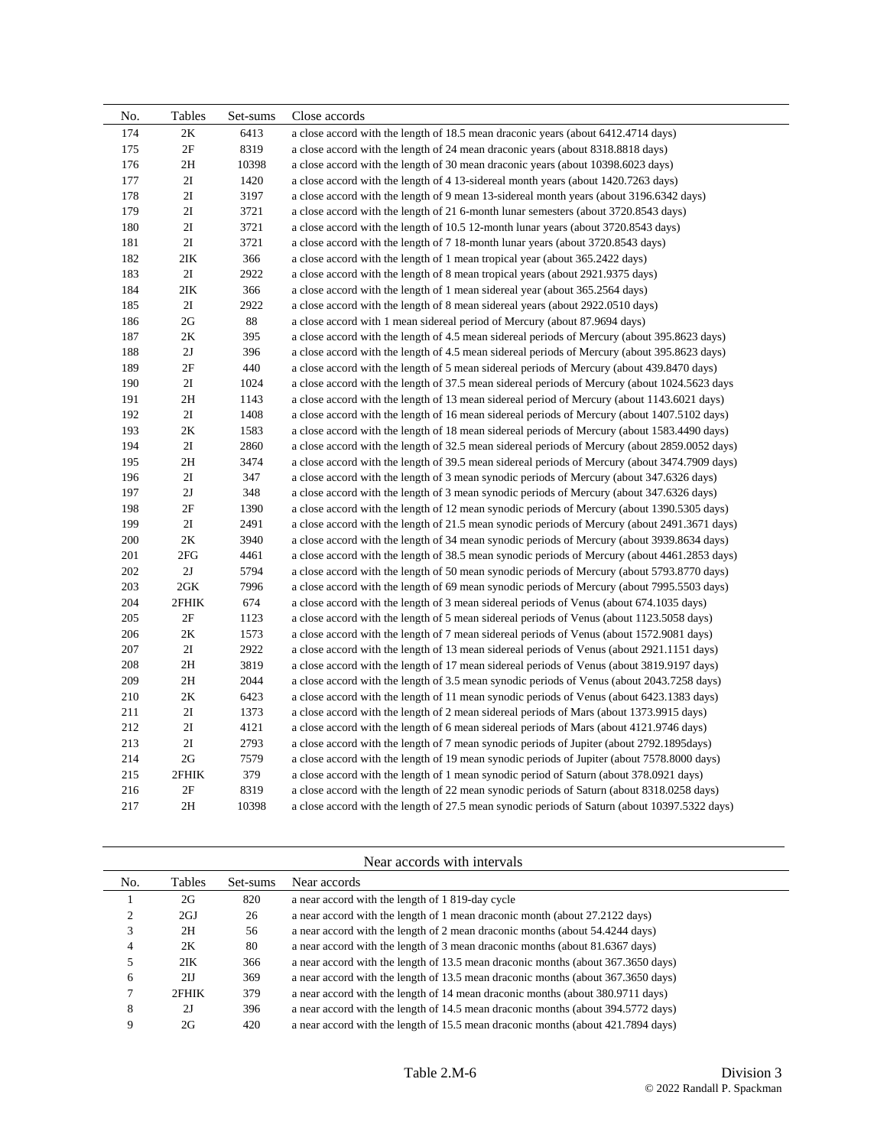| No. | Tables        | Set-sums | Close accords                                                                                  |
|-----|---------------|----------|------------------------------------------------------------------------------------------------|
| 174 | 2K            | 6413     | a close accord with the length of 18.5 mean draconic years (about 6412.4714 days)              |
| 175 | $2\mathrm{F}$ | 8319     | a close accord with the length of 24 mean draconic years (about 8318.8818 days)                |
| 176 | 2H            | 10398    | a close accord with the length of 30 mean draconic years (about 10398.6023 days)               |
| 177 | 2I            | 1420     | a close accord with the length of 4 13-sidereal month years (about 1420.7263 days)             |
| 178 | 2I            | 3197     | a close accord with the length of 9 mean 13-sidereal month years (about 3196.6342 days)        |
| 179 | 2I            | 3721     | a close accord with the length of 21 6-month lunar semesters (about 3720.8543 days)            |
| 180 | 2I            | 3721     | a close accord with the length of 10.5 12-month lunar years (about 3720.8543 days)             |
| 181 | 2I            | 3721     | a close accord with the length of 7 18-month lunar years (about 3720.8543 days)                |
| 182 | 2IK           | 366      | a close accord with the length of 1 mean tropical year (about 365.2422 days)                   |
| 183 | 2I            | 2922     | a close accord with the length of 8 mean tropical years (about 2921.9375 days)                 |
| 184 | 2IK           | 366      | a close accord with the length of 1 mean sidereal year (about 365.2564 days)                   |
| 185 | 2I            | 2922     | a close accord with the length of 8 mean sidereal years (about 2922.0510 days)                 |
| 186 | 2G            | 88       | a close accord with 1 mean sidereal period of Mercury (about 87.9694 days)                     |
| 187 | 2K            | 395      | a close accord with the length of 4.5 mean sidereal periods of Mercury (about 395.8623 days)   |
| 188 | 2J            | 396      | a close accord with the length of 4.5 mean sidereal periods of Mercury (about 395.8623 days)   |
| 189 | 2F            | 440      | a close accord with the length of 5 mean sidereal periods of Mercury (about 439.8470 days)     |
| 190 | 2I            | 1024     | a close accord with the length of 37.5 mean sidereal periods of Mercury (about 1024.5623 days  |
| 191 | 2H            | 1143     | a close accord with the length of 13 mean sidereal period of Mercury (about 1143.6021 days)    |
| 192 | 2I            | 1408     | a close accord with the length of 16 mean sidereal periods of Mercury (about 1407.5102 days)   |
| 193 | 2K            | 1583     | a close accord with the length of 18 mean sidereal periods of Mercury (about 1583.4490 days)   |
| 194 | 21            | 2860     | a close accord with the length of 32.5 mean sidereal periods of Mercury (about 2859.0052 days) |
| 195 | 2H            | 3474     | a close accord with the length of 39.5 mean sidereal periods of Mercury (about 3474.7909 days) |
| 196 | 2I            | 347      | a close accord with the length of 3 mean synodic periods of Mercury (about 347.6326 days)      |
| 197 | 2J            | 348      | a close accord with the length of 3 mean synodic periods of Mercury (about 347.6326 days)      |
| 198 | 2F            | 1390     | a close accord with the length of 12 mean synodic periods of Mercury (about 1390.5305 days)    |
| 199 | 2I            | 2491     | a close accord with the length of 21.5 mean synodic periods of Mercury (about 2491.3671 days)  |
| 200 | 2K            | 3940     | a close accord with the length of 34 mean synodic periods of Mercury (about 3939.8634 days)    |
| 201 | 2FG           | 4461     | a close accord with the length of 38.5 mean synodic periods of Mercury (about 4461.2853 days)  |
| 202 | 2J            | 5794     | a close accord with the length of 50 mean synodic periods of Mercury (about 5793.8770 days)    |
| 203 | $2$ GK        | 7996     | a close accord with the length of 69 mean synodic periods of Mercury (about 7995.5503 days)    |
| 204 | 2FHIK         | 674      | a close accord with the length of 3 mean sidereal periods of Venus (about 674.1035 days)       |
| 205 | 2F            | 1123     | a close accord with the length of 5 mean sidereal periods of Venus (about 1123.5058 days)      |
| 206 | 2K            | 1573     | a close accord with the length of 7 mean sidereal periods of Venus (about 1572.9081 days)      |
| 207 | 2I            | 2922     | a close accord with the length of 13 mean sidereal periods of Venus (about 2921.1151 days)     |
| 208 | 2H            | 3819     | a close accord with the length of 17 mean sidereal periods of Venus (about 3819.9197 days)     |
| 209 | 2H            | 2044     | a close accord with the length of 3.5 mean synodic periods of Venus (about 2043.7258 days)     |
| 210 | 2K            | 6423     | a close accord with the length of 11 mean synodic periods of Venus (about 6423.1383 days)      |
| 211 | 2I            | 1373     | a close accord with the length of 2 mean sidereal periods of Mars (about 1373.9915 days)       |
| 212 | 2I            | 4121     | a close accord with the length of 6 mean sidereal periods of Mars (about 4121.9746 days)       |
| 213 | 2I            | 2793     | a close accord with the length of 7 mean synodic periods of Jupiter (about 2792.1895days)      |
| 214 | 2G            | 7579     | a close accord with the length of 19 mean synodic periods of Jupiter (about 7578.8000 days)    |
| 215 | 2FHIK         | 379      | a close accord with the length of 1 mean synodic period of Saturn (about 378.0921 days)        |
| 216 | 2F            | 8319     | a close accord with the length of 22 mean synodic periods of Saturn (about 8318.0258 days)     |
| 217 | 2H            | 10398    | a close accord with the length of 27.5 mean synodic periods of Saturn (about 10397.5322 days)  |

|  | Near accords with intervals |
|--|-----------------------------|
|--|-----------------------------|

| No. | Tables | Set-sums | Near accords                                                                     |
|-----|--------|----------|----------------------------------------------------------------------------------|
|     | 2G     | 820      | a near accord with the length of 1819-day cycle                                  |
|     | 2GJ    | 26       | a near accord with the length of 1 mean draconic month (about 27.2122 days)      |
| 3   | 2H     | 56       | a near accord with the length of 2 mean draconic months (about 54.4244 days)     |
| 4   | 2K     | 80       | a near accord with the length of 3 mean draconic months (about 81.6367 days)     |
|     | 2IK    | 366      | a near accord with the length of 13.5 mean draconic months (about 367.3650 days) |
| 6   | 2IJ    | 369      | a near accord with the length of 13.5 mean draconic months (about 367.3650 days) |
|     | 2FHIK  | 379      | a near accord with the length of 14 mean draconic months (about 380.9711 days)   |
| 8   | 2J     | 396      | a near accord with the length of 14.5 mean draconic months (about 394.5772 days) |
| 9   | 2G     | 420      | a near accord with the length of 15.5 mean draconic months (about 421.7894 days) |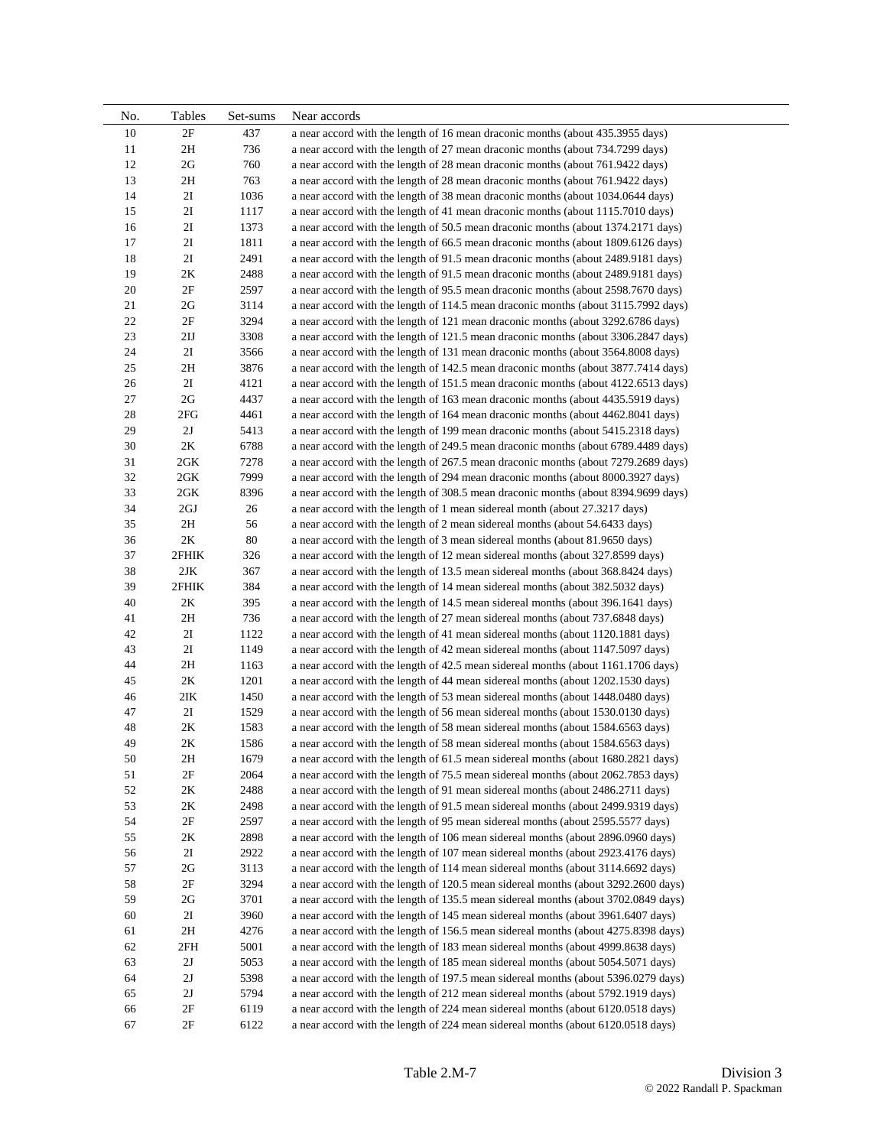| No. | Tables        | Set-sums | Near accords                                                                       |
|-----|---------------|----------|------------------------------------------------------------------------------------|
| 10  | 2F            | 437      | a near accord with the length of 16 mean draconic months (about 435.3955 days)     |
| 11  | 2H            | 736      | a near accord with the length of 27 mean draconic months (about 734.7299 days)     |
| 12  | 2G            | 760      | a near accord with the length of 28 mean draconic months (about 761.9422 days)     |
| 13  | 2H            | 763      | a near accord with the length of 28 mean draconic months (about 761.9422 days)     |
| 14  | 2I            | 1036     | a near accord with the length of 38 mean draconic months (about 1034.0644 days)    |
| 15  | 2I            | 1117     | a near accord with the length of 41 mean draconic months (about 1115.7010 days)    |
| 16  | 2I            | 1373     | a near accord with the length of 50.5 mean draconic months (about 1374.2171 days)  |
| 17  | 2I            | 1811     | a near accord with the length of 66.5 mean draconic months (about 1809.6126 days)  |
| 18  | 2I            | 2491     | a near accord with the length of 91.5 mean draconic months (about 2489.9181 days)  |
| 19  | 2K            | 2488     | a near accord with the length of 91.5 mean draconic months (about 2489.9181 days)  |
| 20  | 2F            | 2597     | a near accord with the length of 95.5 mean draconic months (about 2598.7670 days)  |
| 21  | 2G            | 3114     | a near accord with the length of 114.5 mean draconic months (about 3115.7992 days) |
| 22  | 2F            | 3294     | a near accord with the length of 121 mean draconic months (about 3292.6786 days)   |
| 23  | 2IJ           | 3308     | a near accord with the length of 121.5 mean draconic months (about 3306.2847 days) |
| 24  | 2I            | 3566     | a near accord with the length of 131 mean draconic months (about 3564.8008 days)   |
| 25  | 2H            | 3876     | a near accord with the length of 142.5 mean draconic months (about 3877.7414 days) |
| 26  | 21            | 4121     | a near accord with the length of 151.5 mean draconic months (about 4122.6513 days) |
| 27  | 2G            | 4437     | a near accord with the length of 163 mean draconic months (about 4435.5919 days)   |
| 28  | 2FG           | 4461     | a near accord with the length of 164 mean draconic months (about 4462.8041 days)   |
| 29  | 2J            | 5413     | a near accord with the length of 199 mean draconic months (about 5415.2318 days)   |
| 30  | $2\mathrm{K}$ | 6788     | a near accord with the length of 249.5 mean draconic months (about 6789.4489 days) |
| 31  | 2GK           | 7278     | a near accord with the length of 267.5 mean draconic months (about 7279.2689 days) |
| 32  | 2GK           | 7999     | a near accord with the length of 294 mean draconic months (about 8000.3927 days)   |
| 33  | 2GK           | 8396     | a near accord with the length of 308.5 mean draconic months (about 8394.9699 days) |
| 34  | 2GJ           | 26       | a near accord with the length of 1 mean sidereal month (about 27.3217 days)        |
| 35  | 2H            | 56       | a near accord with the length of 2 mean sidereal months (about 54.6433 days)       |
| 36  | 2K            | 80       | a near accord with the length of 3 mean sidereal months (about 81.9650 days)       |
| 37  | 2FHIK         | 326      | a near accord with the length of 12 mean sidereal months (about 327.8599 days)     |
| 38  | 2JK           | 367      | a near accord with the length of 13.5 mean sidereal months (about 368.8424 days)   |
| 39  | 2FHIK         | 384      | a near accord with the length of 14 mean sidereal months (about 382.5032 days)     |
| 40  | 2K            | 395      | a near accord with the length of 14.5 mean sidereal months (about 396.1641 days)   |
| 41  | 2H            | 736      | a near accord with the length of 27 mean sidereal months (about 737.6848 days)     |
| 42  | 2Ι            | 1122     | a near accord with the length of 41 mean sidereal months (about 1120.1881 days)    |
| 43  | 2I            | 1149     | a near accord with the length of 42 mean sidereal months (about 1147.5097 days)    |
| 44  | 2H            | 1163     | a near accord with the length of 42.5 mean sidereal months (about 1161.1706 days)  |
| 45  | 2K            | 1201     | a near accord with the length of 44 mean sidereal months (about 1202.1530 days)    |
| 46  | $2$ IK        | 1450     | a near accord with the length of 53 mean sidereal months (about 1448.0480 days)    |
| 47  | 21            | 1529     | a near accord with the length of 56 mean sidereal months (about 1530.0130 days)    |
| 48  | 2K            | 1583     | a near accord with the length of 58 mean sidereal months (about 1584.6563 days)    |
| 49  | 2K            | 1586     | a near accord with the length of 58 mean sidereal months (about 1584.6563 days)    |
| 50  | 2H            | 1679     | a near accord with the length of 61.5 mean sidereal months (about 1680.2821 days)  |
| 51  | 2F            | 2064     | a near accord with the length of 75.5 mean sidereal months (about 2062.7853 days)  |
| 52  | $2K$          | 2488     | a near accord with the length of 91 mean sidereal months (about 2486.2711 days)    |
| 53  | 2K            | 2498     | a near accord with the length of 91.5 mean sidereal months (about 2499.9319 days)  |
| 54  | $2\mathrm{F}$ | 2597     | a near accord with the length of 95 mean sidereal months (about 2595.5577 days)    |
| 55  | 2К            | 2898     | a near accord with the length of 106 mean sidereal months (about 2896.0960 days)   |
| 56  | 2I            | 2922     | a near accord with the length of 107 mean sidereal months (about 2923.4176 days)   |
| 57  | 2G            | 3113     | a near accord with the length of 114 mean sidereal months (about 3114.6692 days)   |
| 58  | $2\mathrm{F}$ | 3294     | a near accord with the length of 120.5 mean sidereal months (about 3292.2600 days) |
| 59  | 2G            | 3701     | a near accord with the length of 135.5 mean sidereal months (about 3702.0849 days) |
| 60  | 2I            | 3960     | a near accord with the length of 145 mean sidereal months (about 3961.6407 days)   |
| 61  | 2H            | 4276     | a near accord with the length of 156.5 mean sidereal months (about 4275.8398 days) |
| 62  | 2FH           | 5001     | a near accord with the length of 183 mean sidereal months (about 4999.8638 days)   |
| 63  | 2J            | 5053     | a near accord with the length of 185 mean sidereal months (about 5054.5071 days)   |
| 64  | 2J            | 5398     | a near accord with the length of 197.5 mean sidereal months (about 5396.0279 days) |
| 65  | 2J            | 5794     | a near accord with the length of 212 mean sidereal months (about 5792.1919 days)   |
| 66  | 2F            | 6119     | a near accord with the length of 224 mean sidereal months (about 6120.0518 days)   |
| 67  | 2F            | 6122     | a near accord with the length of 224 mean sidereal months (about 6120.0518 days)   |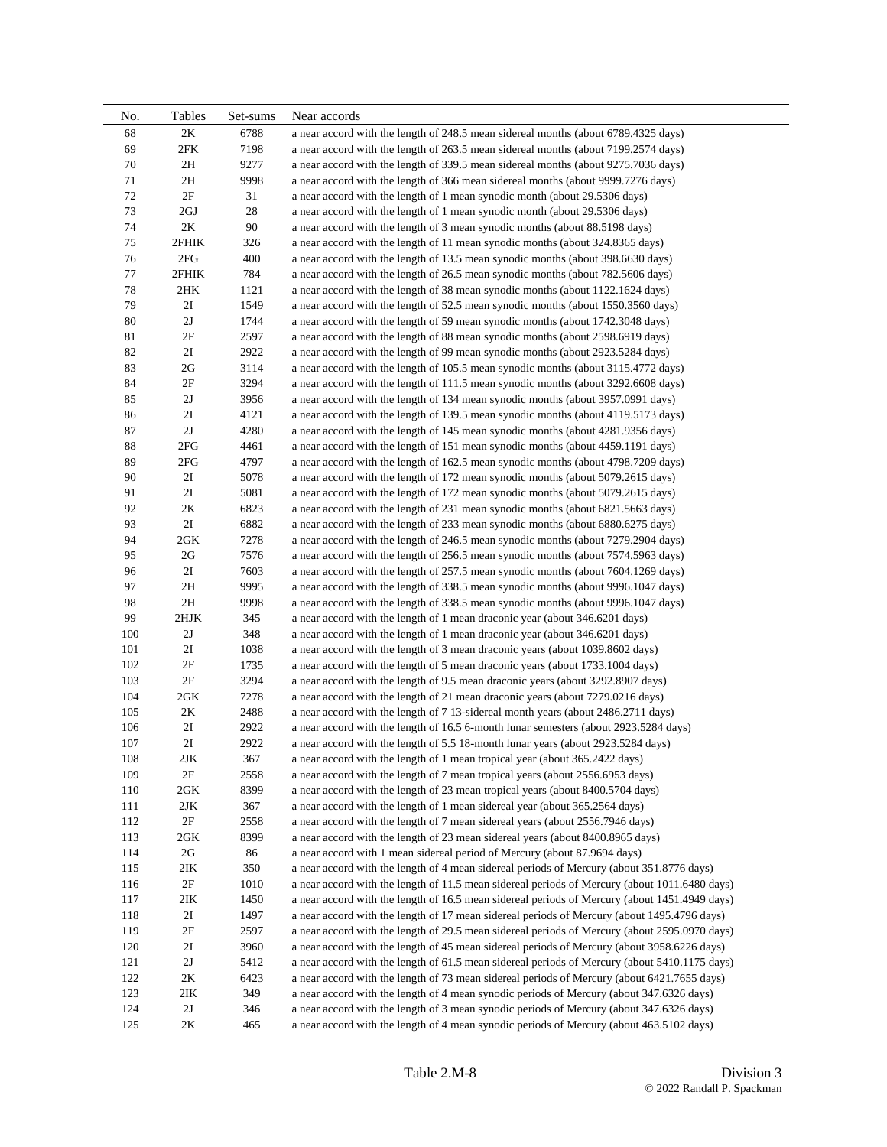| No.    | Tables         | Set-sums | Near accords                                                                                  |
|--------|----------------|----------|-----------------------------------------------------------------------------------------------|
| 68     | 2K             | 6788     | a near accord with the length of 248.5 mean sidereal months (about 6789.4325 days)            |
| 69     | $2\mathrm{FK}$ | 7198     | a near accord with the length of 263.5 mean sidereal months (about 7199.2574 days)            |
| 70     | 2H             | 9277     | a near accord with the length of 339.5 mean sidereal months (about 9275.7036 days)            |
| 71     | 2H             | 9998     | a near accord with the length of 366 mean sidereal months (about 9999.7276 days)              |
| 72     | 2F             | 31       | a near accord with the length of 1 mean synodic month (about 29.5306 days)                    |
| 73     | 2GJ            | 28       | a near accord with the length of 1 mean synodic month (about 29.5306 days)                    |
| 74     | 2K             | 90       | a near accord with the length of 3 mean synodic months (about 88.5198 days)                   |
| 75     | 2FHIK          | 326      | a near accord with the length of 11 mean synodic months (about 324.8365 days)                 |
| 76     | 2FG            | 400      | a near accord with the length of 13.5 mean synodic months (about 398.6630 days)               |
| 77     | 2FHIK          | 784      | a near accord with the length of 26.5 mean synodic months (about 782.5606 days)               |
| 78     | 2HK            | 1121     | a near accord with the length of 38 mean synodic months (about 1122.1624 days)                |
| 79     | 2I             | 1549     | a near accord with the length of 52.5 mean synodic months (about 1550.3560 days)              |
| 80     | $2J$           | 1744     | a near accord with the length of 59 mean synodic months (about 1742.3048 days)                |
| 81     | 2F             | 2597     | a near accord with the length of 88 mean synodic months (about 2598.6919 days)                |
| 82     | 2I             | 2922     | a near accord with the length of 99 mean synodic months (about 2923.5284 days)                |
| 83     | 2G             | 3114     | a near accord with the length of 105.5 mean synodic months (about 3115.4772 days)             |
| 84     | $2\mathrm{F}$  | 3294     | a near accord with the length of 111.5 mean synodic months (about 3292.6608 days)             |
| 85     | 2J             | 3956     | a near accord with the length of 134 mean synodic months (about 3957.0991 days)               |
| 86     | 2I             | 4121     | a near accord with the length of 139.5 mean synodic months (about 4119.5173 days)             |
| 87     | 2J             | 4280     | a near accord with the length of 145 mean synodic months (about 4281.9356 days)               |
| $88\,$ | 2FG            | 4461     | a near accord with the length of 151 mean synodic months (about 4459.1191 days)               |
| 89     | 2FG            | 4797     | a near accord with the length of 162.5 mean synodic months (about 4798.7209 days)             |
| 90     | 2I             | 5078     | a near accord with the length of 172 mean synodic months (about 5079.2615 days)               |
| 91     | 2Ι             | 5081     | a near accord with the length of 172 mean synodic months (about 5079.2615 days)               |
| 92     | 2K             | 6823     | a near accord with the length of 231 mean synodic months (about 6821.5663 days)               |
| 93     | 2I             | 6882     | a near accord with the length of 233 mean synodic months (about 6880.6275 days)               |
| 94     | $2$ GK         | 7278     | a near accord with the length of 246.5 mean synodic months (about 7279.2904 days)             |
| 95     | 2G             | 7576     | a near accord with the length of 256.5 mean synodic months (about 7574.5963 days)             |
| 96     | 21             | 7603     | a near accord with the length of 257.5 mean synodic months (about 7604.1269 days)             |
| 97     | 2H             | 9995     | a near accord with the length of 338.5 mean synodic months (about 9996.1047 days)             |
| 98     | 2H             | 9998     | a near accord with the length of 338.5 mean synodic months (about 9996.1047 days)             |
| 99     | 2HJK           | 345      | a near accord with the length of 1 mean draconic year (about 346.6201 days)                   |
| 100    | 2J             | 348      | a near accord with the length of 1 mean draconic year (about 346.6201 days)                   |
| 101    | 2I             | 1038     | a near accord with the length of 3 mean draconic years (about 1039.8602 days)                 |
| 102    | 2F             | 1735     | a near accord with the length of 5 mean draconic years (about 1733.1004 days)                 |
| 103    | $2\mathrm{F}$  | 3294     | a near accord with the length of 9.5 mean draconic years (about 3292.8907 days)               |
| 104    | 2GK            | 7278     | a near accord with the length of 21 mean draconic years (about 7279.0216 days)                |
| 105    | 2K             | 2488     | a near accord with the length of 7 13-sidereal month years (about 2486.2711 days)             |
| 106    | 2I             | 2922     | a near accord with the length of 16.5 6-month lunar semesters (about 2923.5284 days)          |
| 107    | 21             | 2922     | a near accord with the length of 5.5 18-month lunar years (about 2923.5284 days)              |
| 108    | 2JK            | 367      | a near accord with the length of 1 mean tropical year (about 365.2422 days)                   |
| 109    | $2\mathrm{F}$  | 2558     | a near accord with the length of 7 mean tropical years (about 2556.6953 days)                 |
| 110    | 2GK            | 8399     | a near accord with the length of 23 mean tropical years (about 8400.5704 days)                |
| 111    | 2JK            | 367      | a near accord with the length of 1 mean sidereal year (about 365.2564 days)                   |
| 112    | 2F             | 2558     | a near accord with the length of 7 mean sidereal years (about 2556.7946 days)                 |
| 113    | 2GK            | 8399     | a near accord with the length of 23 mean sidereal years (about 8400.8965 days)                |
| 114    | 2G             | 86       | a near accord with 1 mean sidereal period of Mercury (about 87.9694 days)                     |
| 115    | 2IK            | 350      | a near accord with the length of 4 mean sidereal periods of Mercury (about 351.8776 days)     |
| 116    | 2F             | 1010     | a near accord with the length of 11.5 mean sidereal periods of Mercury (about 1011.6480 days) |
| 117    | 2IK            | 1450     | a near accord with the length of 16.5 mean sidereal periods of Mercury (about 1451.4949 days) |
| 118    | 2I             | 1497     | a near accord with the length of 17 mean sidereal periods of Mercury (about 1495.4796 days)   |
| 119    | $2\mathrm{F}$  | 2597     | a near accord with the length of 29.5 mean sidereal periods of Mercury (about 2595.0970 days) |
| 120    | 2I             | 3960     | a near accord with the length of 45 mean sidereal periods of Mercury (about 3958.6226 days)   |
| 121    | 2J             | 5412     | a near accord with the length of 61.5 mean sidereal periods of Mercury (about 5410.1175 days) |
| 122    | 2K             | 6423     | a near accord with the length of 73 mean sidereal periods of Mercury (about 6421.7655 days)   |
| 123    | $2$ IK         | 349      | a near accord with the length of 4 mean synodic periods of Mercury (about 347.6326 days)      |
| 124    | 2J             | 346      | a near accord with the length of 3 mean synodic periods of Mercury (about 347.6326 days)      |
| 125    | $2\mathrm{K}$  | 465      | a near accord with the length of 4 mean synodic periods of Mercury (about 463.5102 days)      |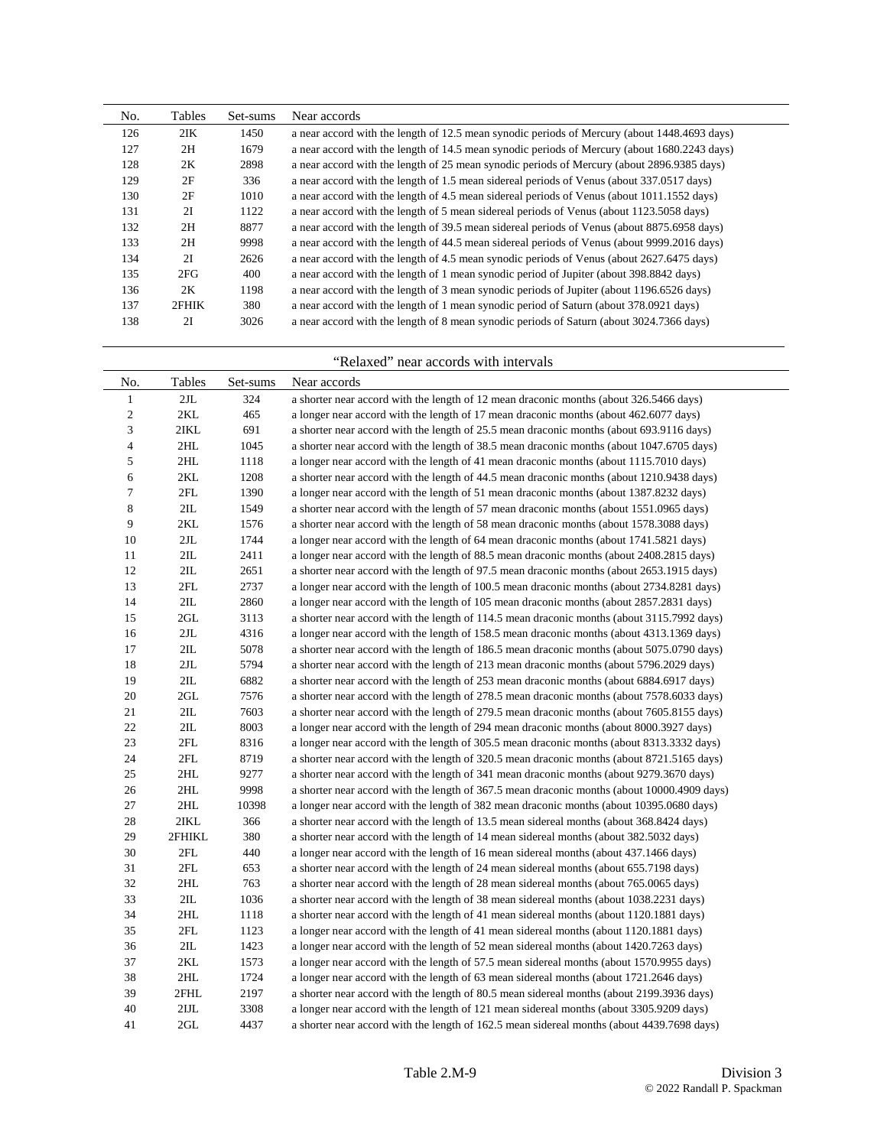| No. | Tables | Set-sums | Near accords                                                                                 |
|-----|--------|----------|----------------------------------------------------------------------------------------------|
| 126 | 2IK    | 1450     | a near accord with the length of 12.5 mean synodic periods of Mercury (about 1448.4693 days) |
| 127 | 2H     | 1679     | a near accord with the length of 14.5 mean synodic periods of Mercury (about 1680.2243 days) |
| 128 | 2K     | 2898     | a near accord with the length of 25 mean synodic periods of Mercury (about 2896.9385 days)   |
| 129 | 2F     | 336      | a near accord with the length of 1.5 mean sidereal periods of Venus (about 337.0517 days)    |
| 130 | 2F     | 1010     | a near accord with the length of 4.5 mean sidereal periods of Venus (about 1011.1552 days)   |
| 131 | 2I     | 1122     | a near accord with the length of 5 mean sidereal periods of Venus (about 1123.5058 days)     |
| 132 | 2H     | 8877     | a near accord with the length of 39.5 mean sidereal periods of Venus (about 8875.6958 days)  |
| 133 | 2H     | 9998     | a near accord with the length of 44.5 mean sidereal periods of Venus (about 9999.2016 days)  |
| 134 | 2I     | 2626     | a near accord with the length of 4.5 mean synodic periods of Venus (about 2627.6475 days)    |
| 135 | 2FG    | 400      | a near accord with the length of 1 mean synodic period of Jupiter (about 398.8842 days)      |
| 136 | 2K     | 1198     | a near accord with the length of 3 mean synodic periods of Jupiter (about 1196.6526 days)    |
| 137 | 2FHIK  | 380      | a near accord with the length of 1 mean synodic period of Saturn (about 378.0921 days)       |
| 138 | 2I     | 3026     | a near accord with the length of 8 mean synodic periods of Saturn (about 3024.7366 days)     |

## "Relaxed" near accords with intervals

| No.            | Tables         | Set-sums | Near accords                                                                                |
|----------------|----------------|----------|---------------------------------------------------------------------------------------------|
| $\mathbf{1}$   | 2JL            | 324      | a shorter near accord with the length of 12 mean draconic months (about 326.5466 days)      |
| $\sqrt{2}$     | 2KL            | 465      | a longer near accord with the length of 17 mean draconic months (about 462.6077 days)       |
| 3              | 2IKL           | 691      | a shorter near accord with the length of 25.5 mean draconic months (about 693.9116 days)    |
| $\overline{4}$ | 2HL            | 1045     | a shorter near accord with the length of 38.5 mean draconic months (about 1047.6705 days)   |
| 5              | 2HL            | 1118     | a longer near accord with the length of 41 mean draconic months (about 1115.7010 days)      |
| 6              | 2KL            | 1208     | a shorter near accord with the length of 44.5 mean draconic months (about 1210.9438 days)   |
| $\tau$         | 2FL            | 1390     | a longer near accord with the length of 51 mean draconic months (about 1387.8232 days)      |
| 8              | 2IL            | 1549     | a shorter near accord with the length of 57 mean draconic months (about 1551.0965 days)     |
| 9              | 2KL            | 1576     | a shorter near accord with the length of 58 mean draconic months (about 1578.3088 days)     |
| 10             | 2JL            | 1744     | a longer near accord with the length of 64 mean draconic months (about 1741.5821 days)      |
| 11             | 2IL            | 2411     | a longer near accord with the length of 88.5 mean draconic months (about 2408.2815 days)    |
| 12             | 2IL            | 2651     | a shorter near accord with the length of 97.5 mean draconic months (about 2653.1915 days)   |
| 13             | 2FL            | 2737     | a longer near accord with the length of 100.5 mean draconic months (about 2734.8281 days)   |
| 14             | 2IL            | 2860     | a longer near accord with the length of 105 mean draconic months (about 2857.2831 days)     |
| 15             | 2GL            | 3113     | a shorter near accord with the length of 114.5 mean draconic months (about 3115.7992 days)  |
| 16             | 2JL            | 4316     | a longer near accord with the length of 158.5 mean draconic months (about 4313.1369 days)   |
| 17             | $2$ IL         | 5078     | a shorter near accord with the length of 186.5 mean draconic months (about 5075.0790 days)  |
| 18             | $2\mathrm{JL}$ | 5794     | a shorter near accord with the length of 213 mean draconic months (about 5796.2029 days)    |
| 19             | $2$ IL         | 6882     | a shorter near accord with the length of 253 mean draconic months (about 6884.6917 days)    |
| 20             | 2GL            | 7576     | a shorter near accord with the length of 278.5 mean draconic months (about 7578.6033 days)  |
| 21             | $2$ IL         | 7603     | a shorter near accord with the length of 279.5 mean draconic months (about 7605.8155 days)  |
| 22             | 2IL            | 8003     | a longer near accord with the length of 294 mean draconic months (about 8000.3927 days)     |
| $23\,$         | 2FL            | 8316     | a longer near accord with the length of 305.5 mean draconic months (about 8313.3332 days)   |
| 24             | 2FL            | 8719     | a shorter near accord with the length of 320.5 mean draconic months (about 8721.5165 days)  |
| 25             | 2HL            | 9277     | a shorter near accord with the length of 341 mean draconic months (about 9279.3670 days)    |
| 26             | 2HL            | 9998     | a shorter near accord with the length of 367.5 mean draconic months (about 10000.4909 days) |
| 27             | 2HL            | 10398    | a longer near accord with the length of 382 mean draconic months (about 10395.0680 days)    |
| 28             | 2IKL           | 366      | a shorter near accord with the length of 13.5 mean sidereal months (about 368.8424 days)    |
| 29             | 2FHIKL         | 380      | a shorter near accord with the length of 14 mean sidereal months (about 382.5032 days)      |
| 30             | 2FL            | 440      | a longer near accord with the length of 16 mean sidereal months (about 437.1466 days)       |
| 31             | 2FL            | 653      | a shorter near accord with the length of 24 mean sidereal months (about 655.7198 days)      |
| 32             | 2HL            | 763      | a shorter near accord with the length of 28 mean sidereal months (about 765.0065 days)      |
| 33             | 2IL            | 1036     | a shorter near accord with the length of 38 mean sidereal months (about 1038.2231 days)     |
| 34             | 2HL            | 1118     | a shorter near accord with the length of 41 mean sidereal months (about 1120.1881 days)     |
| 35             | 2FL            | 1123     | a longer near accord with the length of 41 mean sidereal months (about 1120.1881 days)      |
| 36             | $2{\rm IL}$    | 1423     | a longer near accord with the length of 52 mean sidereal months (about 1420.7263 days)      |
| 37             | 2KL            | 1573     | a longer near accord with the length of 57.5 mean sidereal months (about 1570.9955 days)    |
| 38             | 2HL            | 1724     | a longer near accord with the length of 63 mean sidereal months (about 1721.2646 days)      |
| 39             | 2FHL           | 2197     | a shorter near accord with the length of 80.5 mean sidereal months (about 2199.3936 days)   |
| 40             | 2IJL           | 3308     | a longer near accord with the length of 121 mean sidereal months (about 3305.9209 days)     |
| 41             | 2GL            | 4437     | a shorter near accord with the length of 162.5 mean sidereal months (about 4439.7698 days)  |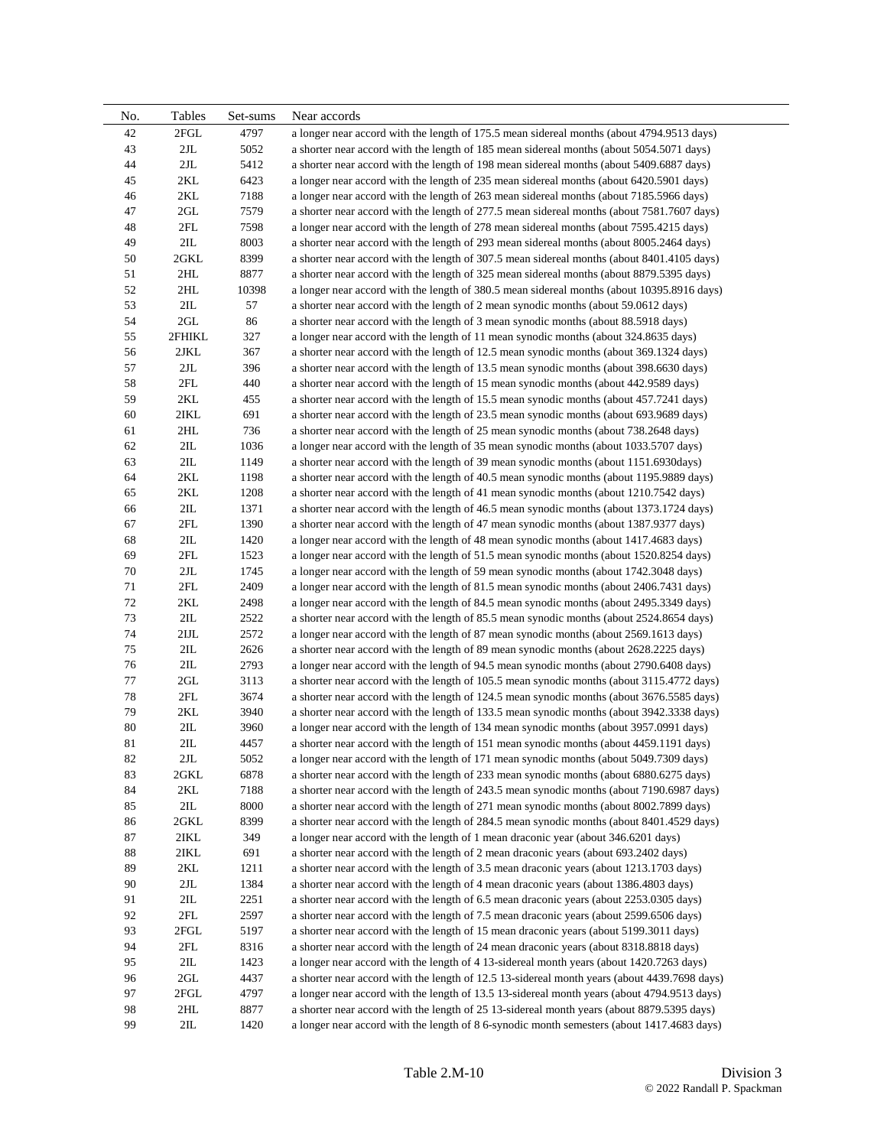| No.    | Tables         | Set-sums | Near accords                                                                                 |
|--------|----------------|----------|----------------------------------------------------------------------------------------------|
| 42     | 2FGL           | 4797     | a longer near accord with the length of 175.5 mean sidereal months (about 4794.9513 days)    |
| 43     | 2JL            | 5052     | a shorter near accord with the length of 185 mean sidereal months (about 5054.5071 days)     |
| 44     | 2JL            | 5412     | a shorter near accord with the length of 198 mean sidereal months (about 5409.6887 days)     |
| 45     | 2KL            | 6423     | a longer near accord with the length of 235 mean sidereal months (about 6420.5901 days)      |
| 46     | 2KL            | 7188     | a longer near accord with the length of 263 mean sidereal months (about 7185.5966 days)      |
| 47     | 2GL            | 7579     | a shorter near accord with the length of 277.5 mean sidereal months (about 7581.7607 days)   |
| 48     | 2FL            | 7598     | a longer near accord with the length of 278 mean sidereal months (about 7595.4215 days)      |
| 49     | 2IL            | 8003     | a shorter near accord with the length of 293 mean sidereal months (about 8005.2464 days)     |
| 50     | 2GKL           | 8399     | a shorter near accord with the length of 307.5 mean sidereal months (about 8401.4105 days)   |
| 51     | 2HL            | 8877     | a shorter near accord with the length of 325 mean sidereal months (about 8879.5395 days)     |
| 52     | 2HL            | 10398    | a longer near accord with the length of 380.5 mean sidereal months (about 10395.8916 days)   |
| 53     | $2{\rm IL}$    | 57       | a shorter near accord with the length of 2 mean synodic months (about 59.0612 days)          |
| 54     | $2 \mbox{GL}$  | 86       | a shorter near accord with the length of 3 mean synodic months (about 88.5918 days)          |
| 55     | 2FHIKL         | 327      | a longer near accord with the length of 11 mean synodic months (about 324.8635 days)         |
| 56     | 2JKL           | 367      | a shorter near accord with the length of 12.5 mean synodic months (about 369.1324 days)      |
| 57     | 2JL            | 396      | a shorter near accord with the length of 13.5 mean synodic months (about 398.6630 days)      |
| 58     | 2FL            | 440      | a shorter near accord with the length of 15 mean synodic months (about 442.9589 days)        |
| 59     | 2KL            | 455      | a shorter near accord with the length of 15.5 mean synodic months (about 457.7241 days)      |
| 60     | 2IKL           | 691      | a shorter near accord with the length of 23.5 mean synodic months (about 693.9689 days)      |
| 61     | 2HL            | 736      | a shorter near accord with the length of 25 mean synodic months (about 738.2648 days)        |
| 62     | $2{\rm IL}$    | 1036     | a longer near accord with the length of 35 mean synodic months (about 1033.5707 days)        |
| 63     | $2{\rm IL}$    | 1149     | a shorter near accord with the length of 39 mean synodic months (about 1151.6930days)        |
| 64     | 2KL            | 1198     | a shorter near accord with the length of 40.5 mean synodic months (about 1195.9889 days)     |
| 65     | 2KL            | 1208     | a shorter near accord with the length of 41 mean synodic months (about 1210.7542 days)       |
| 66     | 2IL            | 1371     | a shorter near accord with the length of 46.5 mean synodic months (about 1373.1724 days)     |
| 67     | 2FL            | 1390     | a shorter near accord with the length of 47 mean synodic months (about 1387.9377 days)       |
| 68     | $2{\rm IL}$    | 1420     | a longer near accord with the length of 48 mean synodic months (about 1417.4683 days)        |
| 69     | 2FL            | 1523     | a longer near accord with the length of 51.5 mean synodic months (about 1520.8254 days)      |
| 70     | 2JL            | 1745     | a longer near accord with the length of 59 mean synodic months (about 1742.3048 days)        |
| 71     | 2FL            | 2409     | a longer near accord with the length of 81.5 mean synodic months (about 2406.7431 days)      |
| 72     | 2KL            | 2498     | a longer near accord with the length of 84.5 mean synodic months (about 2495.3349 days)      |
| 73     | $2{\rm IL}$    | 2522     | a shorter near accord with the length of 85.5 mean synodic months (about 2524.8654 days)     |
| 74     | 2IJL           | 2572     | a longer near accord with the length of 87 mean synodic months (about 2569.1613 days)        |
| 75     | 2IL            | 2626     | a shorter near accord with the length of 89 mean synodic months (about 2628.2225 days)       |
| 76     | 2IL            | 2793     | a longer near accord with the length of 94.5 mean synodic months (about 2790.6408 days)      |
| 77     | 2GL            | 3113     | a shorter near accord with the length of 105.5 mean synodic months (about 3115.4772 days)    |
| 78     | 2FL            | 3674     | a shorter near accord with the length of 124.5 mean synodic months (about 3676.5585 days)    |
| 79     | 2KL            | 3940     | a shorter near accord with the length of 133.5 mean synodic months (about 3942.3338 days)    |
| $80\,$ | 2IL            | 3960     | a longer near accord with the length of 134 mean synodic months (about 3957.0991 days)       |
| 81     | 2IL            | 4457     | a shorter near accord with the length of 151 mean synodic months (about 4459.1191 days)      |
| 82     | 2JL            | 5052     | a longer near accord with the length of 171 mean synodic months (about 5049.7309 days)       |
| 83     | 2GKL           | 6878     | a shorter near accord with the length of 233 mean synodic months (about 6880.6275 days)      |
| 84     | 2KL            | 7188     | a shorter near accord with the length of 243.5 mean synodic months (about 7190.6987 days)    |
| 85     | 2IL            | 8000     | a shorter near accord with the length of 271 mean synodic months (about 8002.7899 days)      |
| 86     | 2GKL           | 8399     | a shorter near accord with the length of 284.5 mean synodic months (about 8401.4529 days)    |
| 87     | 2IKL           | 349      | a longer near accord with the length of 1 mean draconic year (about 346.6201 days)           |
| 88     | 2IKL           | 691      | a shorter near accord with the length of 2 mean draconic years (about 693.2402 days)         |
| 89     | 2KL            | 1211     | a shorter near accord with the length of 3.5 mean draconic years (about 1213.1703 days)      |
| 90     | 2JL            | 1384     | a shorter near accord with the length of 4 mean draconic years (about 1386.4803 days)        |
| 91     | 2IL            | 2251     | a shorter near accord with the length of 6.5 mean draconic years (about 2253.0305 days)      |
| 92     | $2\mathrm{FL}$ | 2597     | a shorter near accord with the length of 7.5 mean draconic years (about 2599.6506 days)      |
| 93     | 2FGL           | 5197     | a shorter near accord with the length of 15 mean draconic years (about 5199.3011 days)       |
| 94     | 2FL            | 8316     | a shorter near accord with the length of 24 mean draconic years (about 8318.8818 days)       |
| 95     | 2IL            | 1423     | a longer near accord with the length of 4 13-sidereal month years (about 1420.7263 days)     |
| 96     | 2GL            | 4437     | a shorter near accord with the length of 12.5 13-sidereal month years (about 4439.7698 days) |
| 97     | 2FGL           | 4797     | a longer near accord with the length of 13.5 13-sidereal month years (about 4794.9513 days)  |
| 98     | $2HL$          | 8877     | a shorter near accord with the length of 25 13-sidereal month years (about 8879.5395 days)   |
| 99     | 2IL            | 1420     | a longer near accord with the length of 8 6-synodic month semesters (about 1417.4683 days)   |